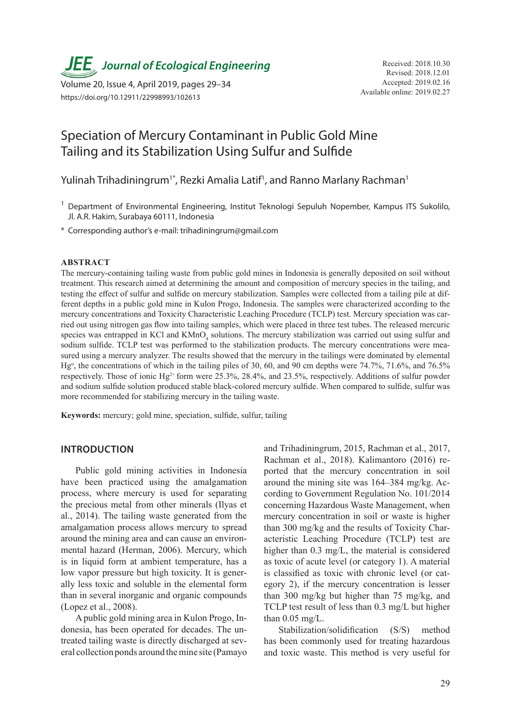*JEE* Journal of Ecological Engineering Received: 2018.10.30

Available online: 2019.02.27 Volume 20, Issue 4, April 2019, pages 29–34 https://doi.org/10.12911/22998993/102613

# Speciation of Mercury Contaminant in Public Gold Mine Tailing and its Stabilization Using Sulfur and Sulfide

Yulinah Trihadiningrum<sup>1\*</sup>, Rezki Amalia Latif<sup>1</sup>, and Ranno Marlany Rachman<sup>1</sup>

- <sup>1</sup> Department of Environmental Engineering, Institut Teknologi Sepuluh Nopember, Kampus ITS Sukolilo, Jl. A.R. Hakim, Surabaya 60111, Indonesia
- \* Corresponding author's e-mail: trihadiningrum@gmail.com

#### **ABSTRACT**

The mercury-containing tailing waste from public gold mines in Indonesia is generally deposited on soil without treatment. This research aimed at determining the amount and composition of mercury species in the tailing, and testing the effect of sulfur and sulfide on mercury stabilization. Samples were collected from a tailing pile at different depths in a public gold mine in Kulon Progo, Indonesia. The samples were characterized according to the mercury concentrations and Toxicity Characteristic Leaching Procedure (TCLP) test. Mercury speciation was carried out using nitrogen gas flow into tailing samples, which were placed in three test tubes. The released mercuric species was entrapped in KCl and KMnO<sub>4</sub> solutions. The mercury stabilization was carried out using sulfur and sodium sulfide. TCLP test was performed to the stabilization products. The mercury concentrations were measured using a mercury analyzer. The results showed that the mercury in the tailings were dominated by elemental Hg<sup>o</sup>, the concentrations of which in the tailing piles of 30, 60, and 90 cm depths were 74.7%, 71.6%, and 76.5% respectively. Those of ionic Hg<sup>2+</sup> form were 25.3%, 28.4%, and 23.5%, respectively. Additions of sulfur powder and sodium sulfide solution produced stable black-colored mercury sulfide. When compared to sulfide, sulfur was more recommended for stabilizing mercury in the tailing waste.

**Keywords:** mercury; gold mine, speciation, sulfide, sulfur, tailing

## **INTRODUCTION**

Public gold mining activities in Indonesia have been practiced using the amalgamation process, where mercury is used for separating the precious metal from other minerals (Ilyas et al., 2014). The tailing waste generated from the amalgamation process allows mercury to spread around the mining area and can cause an environmental hazard (Herman, 2006). Mercury, which is in liquid form at ambient temperature, has a low vapor pressure but high toxicity. It is generally less toxic and soluble in the elemental form than in several inorganic and organic compounds (Lopez et al., 2008).

A public gold mining area in Kulon Progo, Indonesia, has been operated for decades. The untreated tailing waste is directly discharged at several collection ponds around the mine site (Pamayo and Trihadiningrum, 2015, Rachman et al., 2017, Rachman et al., 2018). Kalimantoro (2016) reported that the mercury concentration in soil around the mining site was 164–384 mg/kg. According to Government Regulation No. 101/2014 concerning Hazardous Waste Management, when mercury concentration in soil or waste is higher than 300 mg/kg and the results of Toxicity Characteristic Leaching Procedure (TCLP) test are higher than 0.3 mg/L, the material is considered as toxic of acute level (or category 1). A material is classified as toxic with chronic level (or category 2), if the mercury concentration is lesser than 300 mg/kg but higher than 75 mg/kg, and TCLP test result of less than 0.3 mg/L but higher than 0.05 mg/L.

Stabilization/solidification (S/S) method has been commonly used for treating hazardous and toxic waste. This method is very useful for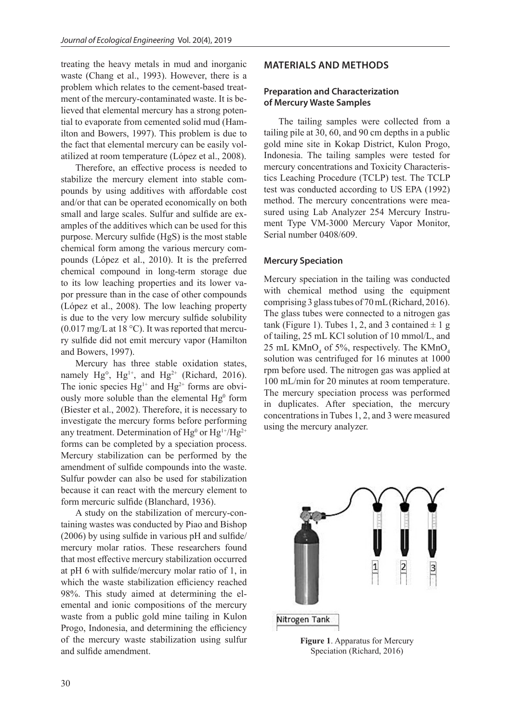treating the heavy metals in mud and inorganic waste (Chang et al., 1993). However, there is a problem which relates to the cement-based treatment of the mercury-contaminated waste. It is believed that elemental mercury has a strong potential to evaporate from cemented solid mud (Hamilton and Bowers, 1997). This problem is due to the fact that elemental mercury can be easily volatilized at room temperature (López et al., 2008).

Therefore, an effective process is needed to stabilize the mercury element into stable compounds by using additives with affordable cost and/or that can be operated economically on both small and large scales. Sulfur and sulfide are examples of the additives which can be used for this purpose. Mercury sulfide (HgS) is the most stable chemical form among the various mercury compounds (López et al., 2010). It is the preferred chemical compound in long-term storage due to its low leaching properties and its lower vapor pressure than in the case of other compounds (López et al., 2008). The low leaching property is due to the very low mercury sulfide solubility  $(0.017 \text{ mg/L at } 18 \text{ °C})$ . It was reported that mercury sulfide did not emit mercury vapor (Hamilton and Bowers, 1997).

Mercury has three stable oxidation states, namely Hg<sup>o</sup>, Hg<sup>1+</sup>, and Hg<sup>2+</sup> (Richard, 2016). The ionic species  $Hg^{1+}$  and  $Hg^{2+}$  forms are obviously more soluble than the elemental  $Hg^0$  form (Biester et al., 2002). Therefore, it is necessary to investigate the mercury forms before performing any treatment. Determination of  $Hg^0$  or  $Hg^{1+}/Hg^{2+}$ forms can be completed by a speciation process. Mercury stabilization can be performed by the amendment of sulfide compounds into the waste. Sulfur powder can also be used for stabilization because it can react with the mercury element to form mercuric sulfide (Blanchard, 1936).

A study on the stabilization of mercury-containing wastes was conducted by Piao and Bishop (2006) by using sulfide in various pH and sulfide/ mercury molar ratios. These researchers found that most effective mercury stabilization occurred at pH 6 with sulfide/mercury molar ratio of 1, in which the waste stabilization efficiency reached 98%. This study aimed at determining the elemental and ionic compositions of the mercury waste from a public gold mine tailing in Kulon Progo, Indonesia, and determining the efficiency of the mercury waste stabilization using sulfur and sulfide amendment.

# **MATERIALS AND METHODS**

## **Preparation and Characterization of Mercury Waste Samples**

The tailing samples were collected from a tailing pile at 30, 60, and 90 cm depths in a public gold mine site in Kokap District, Kulon Progo, Indonesia. The tailing samples were tested for mercury concentrations and Toxicity Characteristics Leaching Procedure (TCLP) test. The TCLP test was conducted according to US EPA (1992) method. The mercury concentrations were measured using Lab Analyzer 254 Mercury Instrument Type VM-3000 Mercury Vapor Monitor, Serial number 0408/609.

## **Mercury Speciation**

Mercury speciation in the tailing was conducted with chemical method using the equipment comprising 3 glass tubes of 70 mL (Richard, 2016). The glass tubes were connected to a nitrogen gas tank (Figure 1). Tubes 1, 2, and 3 contained  $\pm$  1 g of tailing, 25 mL KCl solution of 10 mmol/L, and 25 mL  $KMnO_4$  of 5%, respectively. The  $KMnO_4$ solution was centrifuged for 16 minutes at 1000 rpm before used. The nitrogen gas was applied at 100 mL/min for 20 minutes at room temperature. The mercury speciation process was performed in duplicates. After speciation, the mercury concentrations in Tubes 1, 2, and 3 were measured using the mercury analyzer.



**Figure 1**. Apparatus for Mercury Speciation (Richard, 2016)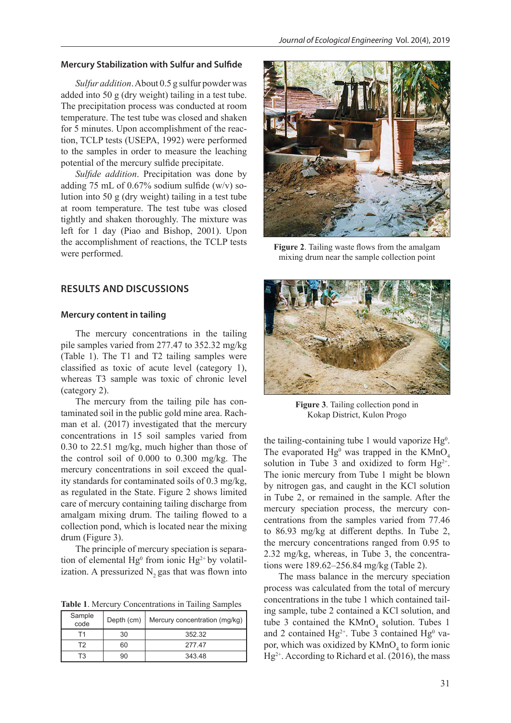#### **Mercury Stabilization with Sulfur and Sulfide**

*Sulfur addition*. About 0.5 g sulfur powder was added into 50 g (dry weight) tailing in a test tube. The precipitation process was conducted at room temperature. The test tube was closed and shaken for 5 minutes. Upon accomplishment of the reaction, TCLP tests (USEPA, 1992) were performed to the samples in order to measure the leaching potential of the mercury sulfide precipitate.

*Sulfide addition*. Precipitation was done by adding 75 mL of  $0.67\%$  sodium sulfide (w/v) solution into 50 g (dry weight) tailing in a test tube at room temperature. The test tube was closed tightly and shaken thoroughly. The mixture was left for 1 day (Piao and Bishop, 2001). Upon the accomplishment of reactions, the TCLP tests were performed.

## **RESULTS AND DISCUSSIONS**

## **Mercury content in tailing**

The mercury concentrations in the tailing pile samples varied from 277.47 to 352.32 mg/kg (Table 1). The T1 and T2 tailing samples were classified as toxic of acute level (category 1), whereas T3 sample was toxic of chronic level (category 2).

The mercury from the tailing pile has contaminated soil in the public gold mine area. Rachman et al. (2017) investigated that the mercury concentrations in 15 soil samples varied from 0.30 to 22.51 mg/kg, much higher than those of the control soil of 0.000 to 0.300 mg/kg. The mercury concentrations in soil exceed the quality standards for contaminated soils of 0.3 mg/kg, as regulated in the State. Figure 2 shows limited care of mercury containing tailing discharge from amalgam mixing drum. The tailing flowed to a collection pond, which is located near the mixing drum (Figure 3).

The principle of mercury speciation is separation of elemental  $Hg^0$  from ionic  $Hg^{2+}$  by volatilization. A pressurized  $N$ , gas that was flown into

**Table 1**. Mercury Concentrations in Tailing Samples

| Sample<br>code | Depth (cm) | Mercury concentration (mg/kg) |
|----------------|------------|-------------------------------|
| Τ1             | 30         | 352.32                        |
| T2             | 60         | 27747                         |
| T3             |            | 343.48                        |



**Figure 2**. Tailing waste flows from the amalgam mixing drum near the sample collection point



**Figure 3**. Tailing collection pond in Kokap District, Kulon Progo

the tailing-containing tube 1 would vaporize  $Hg^0$ . The evaporated  $Hg^0$  was trapped in the KMnO<sub>4</sub> solution in Tube 3 and oxidized to form  $Hg^{2+}$ . The ionic mercury from Tube 1 might be blown by nitrogen gas, and caught in the KCl solution in Tube 2, or remained in the sample. After the mercury speciation process, the mercury concentrations from the samples varied from 77.46 to 86.93 mg/kg at different depths. In Tube 2, the mercury concentrations ranged from 0.95 to 2.32 mg/kg, whereas, in Tube 3, the concentrations were 189.62–256.84 mg/kg (Table 2).

The mass balance in the mercury speciation process was calculated from the total of mercury concentrations in the tube 1 which contained tailing sample, tube 2 contained a KCl solution, and tube 3 contained the  $KMnO<sub>4</sub>$  solution. Tubes 1 and 2 contained  $Hg^{2+}$ . Tube 3 contained  $Hg^{0}$  vapor, which was oxidized by  $\text{KMnO}_4$  to form ionic  $Hg^{2+}$ . According to Richard et al. (2016), the mass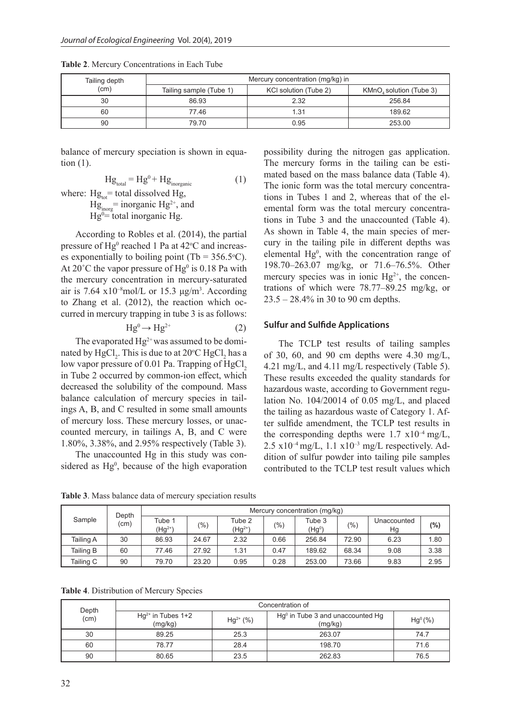| Tailing depth | Mercury concentration (mg/kg) in |                       |                         |  |  |
|---------------|----------------------------------|-----------------------|-------------------------|--|--|
| (cm)          | Tailing sample (Tube 1)          | KCI solution (Tube 2) | KMnO, solution (Tube 3) |  |  |
| 30            | 86.93                            | 2.32                  | 256.84                  |  |  |
| 60            | 77.46                            | 1.31                  | 189.62                  |  |  |
| 90            | 79.70                            | 0.95                  | 253.00                  |  |  |

**Table 2**. Mercury Concentrations in Each Tube

balance of mercury speciation is shown in equation (1).

$$
Hg_{\text{total}} = Hg^0 + Hg_{\text{inorganic}} \tag{1}
$$

where:  $Hg_{tot}$ = total dissolved Hg,  $Hg_{\text{inorg}}$  = inorganic Hg<sup>2+</sup>, and  $Hg^{0}$ = total inorganic Hg.

According to Robles et al. (2014), the partial pressure of  $Hg^0$  reached 1 Pa at 42 $\rm{°C}$  and increases exponentially to boiling point (Tb =  $356.5$ °C). At 20 $^{\circ}$ C the vapor pressure of Hg<sup>0</sup> is 0.18 Pa with the mercury concentration in mercury-saturated air is 7.64  $x10^{-8}$ mol/L or 15.3  $\mu$ g/m<sup>3</sup>. According to Zhang et al. (2012), the reaction which occurred in mercury trapping in tube 3 is as follows:

$$
Hg^0 \to Hg^{2+} \tag{2}
$$

The evaporated  $Hg^{2+}$  was assumed to be dominated by  $HgCl_2$ . This is due to at 20°C  $HgCl_2$  has a low vapor pressure of  $0.01$  Pa. Trapping of HgCl<sub>2</sub> in Tube 2 occurred by common-ion effect, which decreased the solubility of the compound. Mass balance calculation of mercury species in tailings A, B, and C resulted in some small amounts of mercury loss. These mercury losses, or unaccounted mercury, in tailings A, B, and C were 1.80%, 3.38%, and 2.95% respectively (Table 3).

The unaccounted Hg in this study was considered as Hg<sup>0</sup>, because of the high evaporation possibility during the nitrogen gas application. The mercury forms in the tailing can be estimated based on the mass balance data (Table 4). The ionic form was the total mercury concentrations in Tubes 1 and 2, whereas that of the elemental form was the total mercury concentrations in Tube 3 and the unaccounted (Table 4). As shown in Table 4, the main species of mercury in the tailing pile in different depths was elemental  $Hg^0$ , with the concentration range of 198.70–263.07 mg/kg, or 71.6–76.5%. Other mercury species was in ionic  $Hg^{2+}$ , the concentrations of which were 78.77–89.25 mg/kg, or 23.5 – 28.4% in 30 to 90 cm depths.

### **Sulfur and Sulfide Applications**

The TCLP test results of tailing samples of 30, 60, and 90 cm depths were  $4.30 \text{ mg/L}$ , 4.21 mg/L, and 4.11 mg/L respectively (Table 5). These results exceeded the quality standards for hazardous waste, according to Government regulation No. 104/20014 of 0.05 mg/L, and placed the tailing as hazardous waste of Category 1. After sulfide amendment, the TCLP test results in the corresponding depths were  $1.7 \text{ x}10^{-4} \text{ mg/L}$ ,  $2.5 \times 10^{-4}$  mg/L,  $1.1 \times 10^{-3}$  mg/L respectively. Addition of sulfur powder into tailing pile samples contributed to the TCLP test result values which

**Table 3**. Mass balance data of mercury speciation results

| Depth<br>Sample<br>(cm) | Mercury concentration (mg/kg) |                                          |        |                       |      |                              |       |                   |      |
|-------------------------|-------------------------------|------------------------------------------|--------|-----------------------|------|------------------------------|-------|-------------------|------|
|                         |                               | Tube 1<br>$(\mathsf{H} \mathsf{g}^{2+})$ | $(\%)$ | Tube 2<br>$(Hg^{2+})$ | (%)  | Tube 3<br>(Hg <sup>0</sup> ) | (%)   | Unaccounted<br>Hg | (%)  |
| Tailing A               | 30                            | 86.93                                    | 24.67  | 2.32                  | 0.66 | 256.84                       | 72.90 | 6.23              | 1.80 |
| Tailing B               | 60                            | 77.46                                    | 27.92  | 1.31                  | 0.47 | 189.62                       | 68.34 | 9.08              | 3.38 |
| Tailing C               | 90                            | 79.70                                    | 23.20  | 0.95                  | 0.28 | 253.00                       | 73.66 | 9.83              | 2.95 |

**Table 4**. Distribution of Mercury Species

|               | Concentration of                  |               |                                                 |            |  |  |
|---------------|-----------------------------------|---------------|-------------------------------------------------|------------|--|--|
| Depth<br>(cm) | $Hg^{2+}$ in Tubes 1+2<br>(mg/kg) | $Hg^{2+}$ (%) | $Hg0$ in Tube 3 and unaccounted $Hg$<br>(mg/kg) | $Hg^0$ (%) |  |  |
| 30            | 89.25                             | 25.3          | 263.07                                          | 74.7       |  |  |
| 60            | 78.77                             | 28.4          | 198.70                                          | 71.6       |  |  |
| 90            | 80.65                             | 23.5          | 262.83                                          | 76.5       |  |  |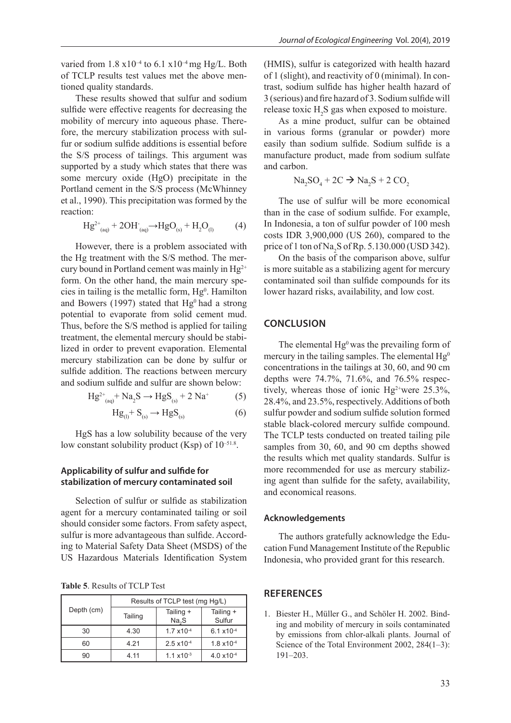varied from  $1.8 \times 10^{-4}$  to  $6.1 \times 10^{-4}$  mg Hg/L. Both of TCLP results test values met the above mentioned quality standards.

These results showed that sulfur and sodium sulfide were effective reagents for decreasing the mobility of mercury into aqueous phase. Therefore, the mercury stabilization process with sulfur or sodium sulfide additions is essential before the S/S process of tailings. This argument was supported by a study which states that there was some mercury oxide (HgO) precipitate in the Portland cement in the S/S process (McWhinney et al., 1990). This precipitation was formed by the reaction:

$$
Hg^{2+}_{(aq)} + 2OH_{(aq)} \rightarrow HgO_{(s)} + H_2O_{(l)} \tag{4}
$$

However, there is a problem associated with the Hg treatment with the S/S method. The mercury bound in Portland cement was mainly in  $Hg^{2+}$ form. On the other hand, the main mercury species in tailing is the metallic form,  $Hg<sup>0</sup>$ . Hamilton and Bowers (1997) stated that  $Hg<sup>0</sup>$  had a strong potential to evaporate from solid cement mud. Thus, before the S/S method is applied for tailing treatment, the elemental mercury should be stabilized in order to prevent evaporation. Elemental mercury stabilization can be done by sulfur or sulfide addition. The reactions between mercury and sodium sulfide and sulfur are shown below:

$$
Hg^{2+}_{(aq)} + Na_2S \to HgS_{(s)} + 2 Na^+ \tag{5}
$$

$$
Hg_{(l)}^{+}S_{(s)}^{+} \to HgS_{(s)}^{+} \tag{6}
$$

HgS has a low solubility because of the very low constant solubility product (Ksp) of  $10^{-51.8}$ .

# **Applicability of sulfur and sulfide for stabilization of mercury contaminated soil**

Selection of sulfur or sulfide as stabilization agent for a mercury contaminated tailing or soil should consider some factors. From safety aspect, sulfur is more advantageous than sulfide. According to Material Safety Data Sheet (MSDS) of the US Hazardous Materials Identification System

**Table 5**. Results of TCLP Test

| Depth (cm) | Results of TCLP test (mg Hg/L) |                                |                      |  |  |
|------------|--------------------------------|--------------------------------|----------------------|--|--|
|            | Tailing                        | Tailing +<br>Na <sub>2</sub> S | Tailing +<br>Sulfur  |  |  |
| 30         | 4.30                           | $1.7 \times 10^{-4}$           | $6.1 \times 10^{-4}$ |  |  |
| 60         | 4 2 1                          | $2.5 \times 10^{-4}$           | $1.8 \times 10^{-4}$ |  |  |
| 90         | 4 11                           | $1.1 \times 10^{-3}$           | $4.0 \times 10^{-4}$ |  |  |

(HMIS), sulfur is categorized with health hazard of 1 (slight), and reactivity of 0 (minimal). In contrast, sodium sulfide has higher health hazard of 3 (serious) and fire hazard of 3. Sodium sulfide will release toxic  $H_2S$  gas when exposed to moisture.

As a mine product, sulfur can be obtained in various forms (granular or powder) more easily than sodium sulfide. Sodium sulfide is a manufacture product, made from sodium sulfate and carbon.

 $\text{Na}_2\text{SO}_4 + 2\text{C} \rightarrow \text{Na}_2\text{S} + 2\text{CO}_2$ 

The use of sulfur will be more economical than in the case of sodium sulfide. For example, In Indonesia, a ton of sulfur powder of 100 mesh costs IDR 3,900,000 (US 260), compared to the price of 1 ton of  $\text{Na}_2\text{S}$  of Rp. 5.130.000 (USD 342).

On the basis of the comparison above, sulfur is more suitable as a stabilizing agent for mercury contaminated soil than sulfide compounds for its lower hazard risks, availability, and low cost.

## **CONCLUSION**

The elemental  $Hg^0$  was the prevailing form of mercury in the tailing samples. The elemental  $Hg^0$ concentrations in the tailings at 30, 60, and 90 cm depths were 74.7%, 71.6%, and 76.5% respectively, whereas those of ionic  $Hg^{2+}$ were 25.3%, 28.4%, and 23.5%, respectively. Additions of both sulfur powder and sodium sulfide solution formed stable black-colored mercury sulfide compound. The TCLP tests conducted on treated tailing pile samples from 30, 60, and 90 cm depths showed the results which met quality standards. Sulfur is more recommended for use as mercury stabilizing agent than sulfide for the safety, availability, and economical reasons.

#### **Acknowledgements**

The authors gratefully acknowledge the Education Fund Management Institute of the Republic Indonesia, who provided grant for this research.

## **REFERENCES**

1. Biester H., Müller G., and Schöler H. 2002. Binding and mobility of mercury in soils contaminated by emissions from chlor-alkali plants. Journal of Science of the Total Environment 2002, 284(1–3): 191–203.